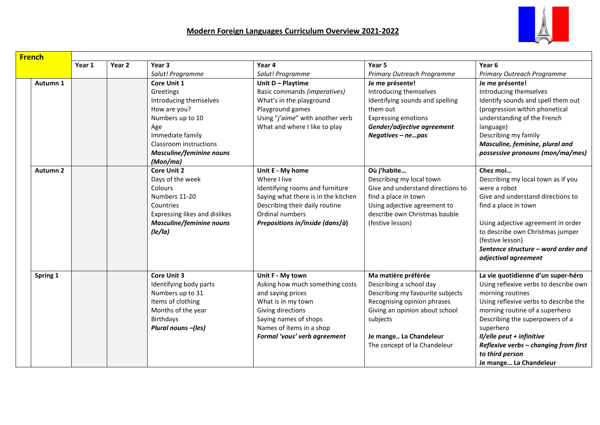

| <b>French</b> |          |        |        |                                 |                                     |                                   |                                       |
|---------------|----------|--------|--------|---------------------------------|-------------------------------------|-----------------------------------|---------------------------------------|
|               |          | Year 1 | Year 2 | Year 3                          | Year 4                              | Year 5                            | Year <sub>6</sub>                     |
|               |          |        |        | Salut! Programme                | Salut! Programme                    | Primary Outreach Programme        | Primary Outreach Programme            |
|               | Autumn 1 |        |        | <b>Core Unit 1</b>              | Unit D - Playtime                   | Je me présente!                   | Je me présente!                       |
|               |          |        |        | Greetings                       | Basic commands (imperatives)        | Introducing themselves            | Introducing themselves                |
|               |          |        |        | Introducing themselves          | What's in the playground            | Identifying sounds and spelling   | Identify sounds and spell them out    |
|               |          |        |        | How are you?                    | Playground games                    | them out                          | (progression within phonetical        |
|               |          |        |        | Numbers up to 10                | Using "j'aime" with another verb    | <b>Expressing emotions</b>        | understanding of the French           |
|               |          |        |        | Age                             | What and where I like to play       | Gender/adjective agreement        | language)                             |
|               |          |        |        | Immediate family                |                                     | Negatives - nepas                 | Describing my family                  |
|               |          |        |        | Classroom instructions          |                                     |                                   | Masculine, feminine, plural and       |
|               |          |        |        | <b>Masculine/feminine nouns</b> |                                     |                                   | possessive pronouns (mon/ma/mes)      |
|               |          |        |        | (Mon/ma)                        |                                     |                                   |                                       |
|               | Autumn 2 |        |        | <b>Core Unit 2</b>              | Unit E - My home                    | Où j'habite                       | Chez moi                              |
|               |          |        |        | Days of the week                | Where I live                        | Describing my local town          | Describing my local town as if you    |
|               |          |        |        | Colours                         | Identifying rooms and furniture     | Give and understand directions to | were a robot                          |
|               |          |        |        | Numbers 11-20                   | Saying what there is in the kitchen | find a place in town              | Give and understand directions to     |
|               |          |        |        | Countries                       | Describing their daily routine      | Using adjective agreement to      | find a place in town                  |
|               |          |        |        | Expressing likes and dislikes   | Ordinal numbers                     | describe own Christmas bauble     |                                       |
|               |          |        |        | <b>Masculine/feminine nouns</b> | Prepositions in/inside (dans/à)     | (festive lesson)                  | Using adjective agreement in order    |
|               |          |        |        | lle/la)                         |                                     |                                   | to describe own Christmas jumper      |
|               |          |        |        |                                 |                                     |                                   | (festive lesson)                      |
|               |          |        |        |                                 |                                     |                                   | Sentence structure – word order and   |
|               |          |        |        |                                 |                                     |                                   | adjectival agreement                  |
|               |          |        |        |                                 |                                     |                                   |                                       |
|               | Spring 1 |        |        | <b>Core Unit 3</b>              | Unit F - My town                    | Ma matière préférée               | La vie quotidienne d'un super-héro    |
|               |          |        |        | Identifying body parts          | Asking how much something costs     | Describing a school day           | Using reflexive verbs to describe own |
|               |          |        |        | Numbers up to 31                | and saying prices                   | Describing my favourite subjects  | morning routines                      |
|               |          |        |        | Items of clothing               | What is in my town                  | Recognising opinion phrases       | Using reflexive verbs to describe the |
|               |          |        |        | Months of the year              | Giving directions                   | Giving an opinion about school    | morning routine of a superhero        |
|               |          |        |        | Birthdays                       | Saying names of shops               | subjects                          | Describing the superpowers of a       |
|               |          |        |        | Plural nouns -(les)             | Names of items in a shop            |                                   | superhero                             |
|               |          |        |        |                                 | Formal 'vous' verb agreement        | Je mange La Chandeleur            | Il/elle peut + infinitive             |
|               |          |        |        |                                 |                                     | The concept of la Chandeleur      | Reflexive verbs - changing from first |
|               |          |        |        |                                 |                                     |                                   | to third person                       |
|               |          |        |        |                                 |                                     |                                   | Je mange La Chandeleur                |